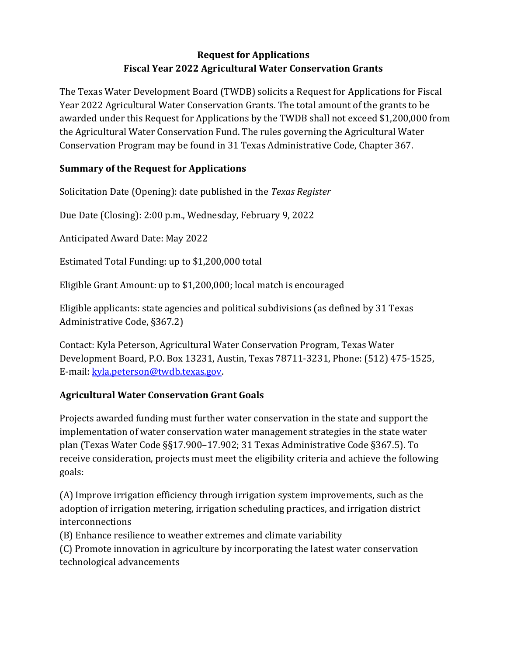# **Request for Applications Fiscal Year 2022 Agricultural Water Conservation Grants**

The Texas Water Development Board (TWDB) solicits a Request for Applications for Fiscal Year 2022 Agricultural Water Conservation Grants. The total amount of the grants to be awarded under this Request for Applications by the TWDB shall not exceed \$1,200,000 from the Agricultural Water Conservation Fund. The rules governing the Agricultural Water Conservation Program may be found in 31 Texas Administrative Code, Chapter 367.

## **Summary of the Request for Applications**

Solicitation Date (Opening): date published in the *Texas Register*

Due Date (Closing): 2:00 p.m., Wednesday, February 9, 2022

Anticipated Award Date: May 2022

Estimated Total Funding: up to \$1,200,000 total

Eligible Grant Amount: up to \$1,200,000; local match is encouraged

Eligible applicants: state agencies and political subdivisions (as defined by 31 Texas Administrative Code, §367.2)

Contact: Kyla Peterson, Agricultural Water Conservation Program, Texas Water Development Board, P.O. Box 13231, Austin, Texas 78711-3231, Phone: (512) 475-1525, E-mail: [kyla.peterson@twdb.texas.gov.](mailto:kyla.peterson@twdb.texas.gov)

## **Agricultural Water Conservation Grant Goals**

Projects awarded funding must further water conservation in the state and support the implementation of water conservation water management strategies in the state water plan (Texas Water Code §§17.900–17.902; 31 Texas Administrative Code §367.5). To receive consideration, projects must meet the eligibility criteria and achieve the following goals:

(A) Improve irrigation efficiency through irrigation system improvements, such as the adoption of irrigation metering, irrigation scheduling practices, and irrigation district interconnections

(B) Enhance resilience to weather extremes and climate variability

(C) Promote innovation in agriculture by incorporating the latest water conservation technological advancements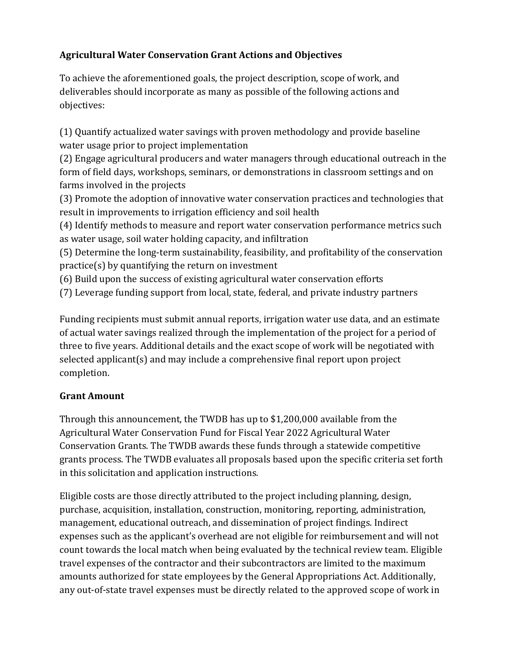# **Agricultural Water Conservation Grant Actions and Objectives**

To achieve the aforementioned goals, the project description, scope of work, and deliverables should incorporate as many as possible of the following actions and objectives:

(1) Quantify actualized water savings with proven methodology and provide baseline water usage prior to project implementation

(2) Engage agricultural producers and water managers through educational outreach in the form of field days, workshops, seminars, or demonstrations in classroom settings and on farms involved in the projects

(3) Promote the adoption of innovative water conservation practices and technologies that result in improvements to irrigation efficiency and soil health

(4) Identify methods to measure and report water conservation performance metrics such as water usage, soil water holding capacity, and infiltration

(5) Determine the long-term sustainability, feasibility, and profitability of the conservation practice(s) by quantifying the return on investment

- (6) Build upon the success of existing agricultural water conservation efforts
- (7) Leverage funding support from local, state, federal, and private industry partners

Funding recipients must submit annual reports, irrigation water use data, and an estimate of actual water savings realized through the implementation of the project for a period of three to five years. Additional details and the exact scope of work will be negotiated with selected applicant(s) and may include a comprehensive final report upon project completion.

## **Grant Amount**

Through this announcement, the TWDB has up to \$1,200,000 available from the Agricultural Water Conservation Fund for Fiscal Year 2022 Agricultural Water Conservation Grants. The TWDB awards these funds through a statewide competitive grants process. The TWDB evaluates all proposals based upon the specific criteria set forth in this solicitation and application instructions.

Eligible costs are those directly attributed to the project including planning, design, purchase, acquisition, installation, construction, monitoring, reporting, administration, management, educational outreach, and dissemination of project findings. Indirect expenses such as the applicant's overhead are not eligible for reimbursement and will not count towards the local match when being evaluated by the technical review team. Eligible travel expenses of the contractor and their subcontractors are limited to the maximum amounts authorized for state employees by the General Appropriations Act. Additionally, any out-of-state travel expenses must be directly related to the approved scope of work in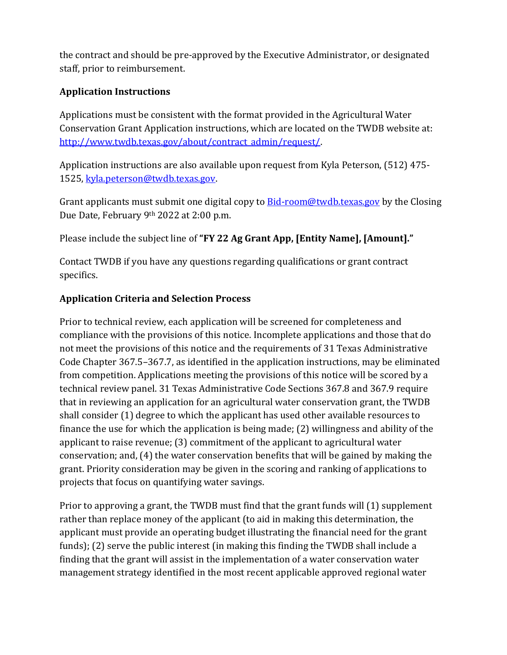the contract and should be pre-approved by the Executive Administrator, or designated staff, prior to reimbursement.

## **Application Instructions**

Applications must be consistent with the format provided in the Agricultural Water Conservation Grant Application instructions, which are located on the TWDB website at: [http://www.twdb.texas.gov/about/contract\\_admin/request/.](http://www.twdb.texas.gov/about/contract_admin/request/)

Application instructions are also available upon request from Kyla Peterson, (512) 475- 1525, [kyla.peterson@twdb.texas.gov.](mailto:kyla.peterson@twdb.texas.gov) 

Grant applicants must submit one digital copy to  $Bid$ -room@twdb.texas.gov by the Closing Due Date, February 9th 2022 at 2:00 p.m.

Please include the subject line of **"FY 22 Ag Grant App, [Entity Name], [Amount]."**

Contact TWDB if you have any questions regarding qualifications or grant contract specifics.

## **Application Criteria and Selection Process**

Prior to technical review, each application will be screened for completeness and compliance with the provisions of this notice. Incomplete applications and those that do not meet the provisions of this notice and the requirements of 31 Texas Administrative Code Chapter 367.5–367.7, as identified in the application instructions, may be eliminated from competition. Applications meeting the provisions of this notice will be scored by a technical review panel. 31 Texas Administrative Code Sections 367.8 and 367.9 require that in reviewing an application for an agricultural water conservation grant, the TWDB shall consider (1) degree to which the applicant has used other available resources to finance the use for which the application is being made; (2) willingness and ability of the applicant to raise revenue; (3) commitment of the applicant to agricultural water conservation; and, (4) the water conservation benefits that will be gained by making the grant. Priority consideration may be given in the scoring and ranking of applications to projects that focus on quantifying water savings.

Prior to approving a grant, the TWDB must find that the grant funds will (1) supplement rather than replace money of the applicant (to aid in making this determination, the applicant must provide an operating budget illustrating the financial need for the grant funds); (2) serve the public interest (in making this finding the TWDB shall include a finding that the grant will assist in the implementation of a water conservation water management strategy identified in the most recent applicable approved regional water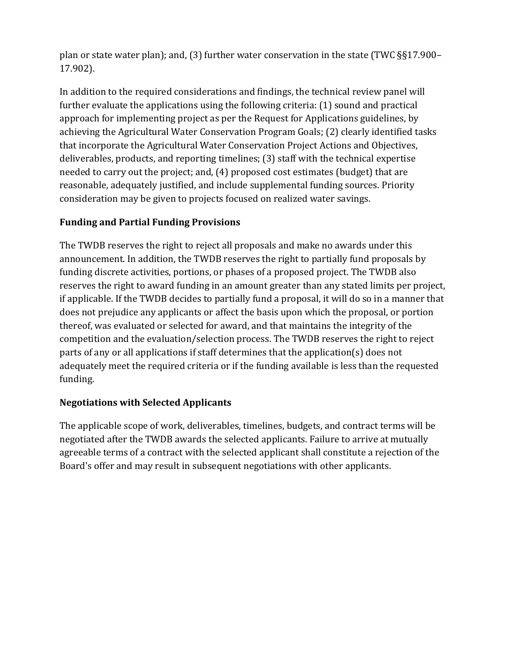plan or state water plan); and, (3) further water conservation in the state (TWC §§17.900– 17.902).

In addition to the required considerations and findings, the technical review panel will further evaluate the applications using the following criteria: (1) sound and practical approach for implementing project as per the Request for Applications guidelines, by achieving the Agricultural Water Conservation Program Goals; (2) clearly identified tasks that incorporate the Agricultural Water Conservation Project Actions and Objectives, deliverables, products, and reporting timelines; (3) staff with the technical expertise needed to carry out the project; and, (4) proposed cost estimates (budget) that are reasonable, adequately justified, and include supplemental funding sources. Priority consideration may be given to projects focused on realized water savings.

## **Funding and Partial Funding Provisions**

The TWDB reserves the right to reject all proposals and make no awards under this announcement. In addition, the TWDB reserves the right to partially fund proposals by funding discrete activities, portions, or phases of a proposed project. The TWDB also reserves the right to award funding in an amount greater than any stated limits per project, if applicable. If the TWDB decides to partially fund a proposal, it will do so in a manner that does not prejudice any applicants or affect the basis upon which the proposal, or portion thereof, was evaluated or selected for award, and that maintains the integrity of the competition and the evaluation/selection process. The TWDB reserves the right to reject parts of any or all applications if staff determines that the application(s) does not adequately meet the required criteria or if the funding available is less than the requested funding.

### **Negotiations with Selected Applicants**

The applicable scope of work, deliverables, timelines, budgets, and contract terms will be negotiated after the TWDB awards the selected applicants. Failure to arrive at mutually agreeable terms of a contract with the selected applicant shall constitute a rejection of the Board's offer and may result in subsequent negotiations with other applicants.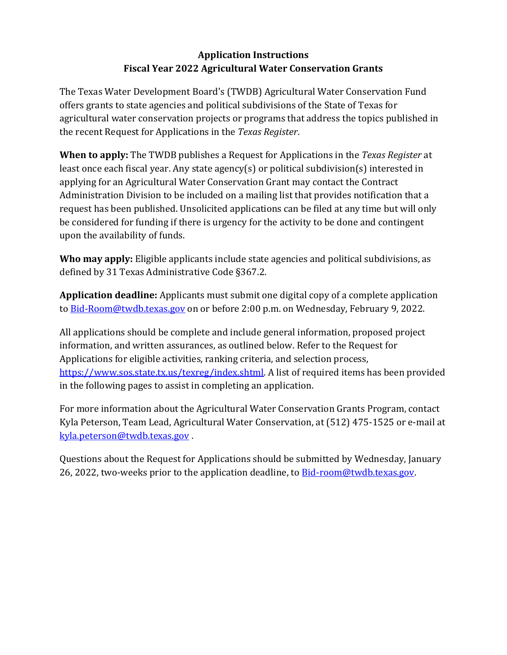# **Application Instructions Fiscal Year 2022 Agricultural Water Conservation Grants**

The Texas Water Development Board's (TWDB) Agricultural Water Conservation Fund offers grants to state agencies and political subdivisions of the State of Texas for agricultural water conservation projects or programs that address the topics published in the recent Request for Applications in the *Texas Register*.

**When to apply:** The TWDB publishes a Request for Applications in the *Texas Register* at least once each fiscal year. Any state agency(s) or political subdivision(s) interested in applying for an Agricultural Water Conservation Grant may contact the Contract Administration Division to be included on a mailing list that provides notification that a request has been published. Unsolicited applications can be filed at any time but will only be considered for funding if there is urgency for the activity to be done and contingent upon the availability of funds.

**Who may apply:** Eligible applicants include state agencies and political subdivisions, as defined by 31 Texas Administrative Code §367.2.

**Application deadline:** Applicants must submit one digital copy of a complete application to [Bid-Room@twdb.texas.gov](mailto:Bid-Room@twdb.texas.gov) on or before 2:00 p.m. on Wednesday, February 9, 2022.

All applications should be complete and include general information, proposed project information, and written assurances, as outlined below. Refer to the Request for Applications for eligible activities, ranking criteria, and selection process, [https://www.sos.state.tx.us/texreg/index.shtml.](https://www.sos.state.tx.us/texreg/index.shtml) A list of required items has been provided in the following pages to assist in completing an application.

For more information about the Agricultural Water Conservation Grants Program, contact Kyla Peterson, Team Lead, Agricultural Water Conservation, at (512) 475-1525 or e-mail at [kyla.peterson@twdb.texas.gov](mailto:kyla.peterson@twdb.texas.gov) .

Questions about the Request for Applications should be submitted by Wednesday, January 26, 2022, two-weeks prior to the application deadline, to **Bid-room@twdb.texas.gov**.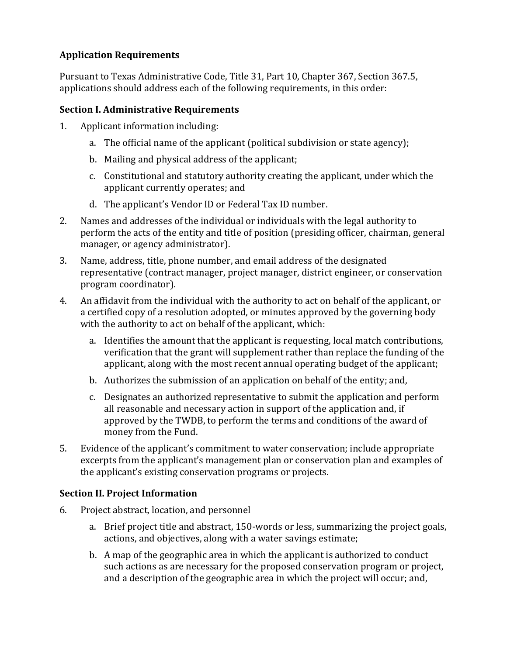### **Application Requirements**

Pursuant to Texas Administrative Code, Title 31, Part 10, Chapter 367, Section 367.5, applications should address each of the following requirements, in this order:

### **Section I. Administrative Requirements**

- 1. Applicant information including:
	- a. The official name of the applicant (political subdivision or state agency);
	- b. Mailing and physical address of the applicant;
	- c. Constitutional and statutory authority creating the applicant, under which the applicant currently operates; and
	- d. The applicant's Vendor ID or Federal Tax ID number.
- 2. Names and addresses of the individual or individuals with the legal authority to perform the acts of the entity and title of position (presiding officer, chairman, general manager, or agency administrator).
- 3. Name, address, title, phone number, and email address of the designated representative (contract manager, project manager, district engineer, or conservation program coordinator).
- 4. An affidavit from the individual with the authority to act on behalf of the applicant, or a certified copy of a resolution adopted, or minutes approved by the governing body with the authority to act on behalf of the applicant, which:
	- a. Identifies the amount that the applicant is requesting, local match contributions, verification that the grant will supplement rather than replace the funding of the applicant, along with the most recent annual operating budget of the applicant;
	- b. Authorizes the submission of an application on behalf of the entity; and,
	- c. Designates an authorized representative to submit the application and perform all reasonable and necessary action in support of the application and, if approved by the TWDB, to perform the terms and conditions of the award of money from the Fund.
- 5. Evidence of the applicant's commitment to water conservation; include appropriate excerpts from the applicant's management plan or conservation plan and examples of the applicant's existing conservation programs or projects.

## **Section II. Project Information**

- 6. Project abstract, location, and personnel
	- a. Brief project title and abstract, 150-words or less, summarizing the project goals, actions, and objectives, along with a water savings estimate;
	- b. A map of the geographic area in which the applicant is authorized to conduct such actions as are necessary for the proposed conservation program or project, and a description of the geographic area in which the project will occur; and,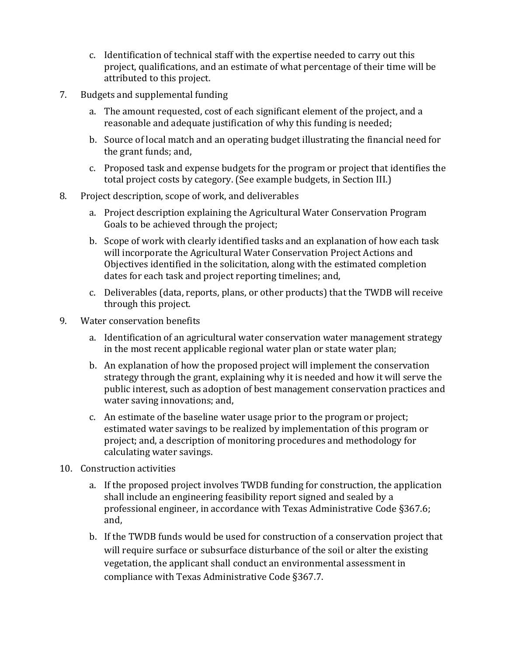- c. Identification of technical staff with the expertise needed to carry out this project, qualifications, and an estimate of what percentage of their time will be attributed to this project.
- 7. Budgets and supplemental funding
	- a. The amount requested, cost of each significant element of the project, and a reasonable and adequate justification of why this funding is needed;
	- b. Source of local match and an operating budget illustrating the financial need for the grant funds; and,
	- c. Proposed task and expense budgets for the program or project that identifies the total project costs by category. (See example budgets, in Section III.)
- 8. Project description, scope of work, and deliverables
	- a. Project description explaining the Agricultural Water Conservation Program Goals to be achieved through the project;
	- b. Scope of work with clearly identified tasks and an explanation of how each task will incorporate the Agricultural Water Conservation Project Actions and Objectives identified in the solicitation, along with the estimated completion dates for each task and project reporting timelines; and,
	- c. Deliverables (data, reports, plans, or other products) that the TWDB will receive through this project.
- 9. Water conservation benefits
	- a. Identification of an agricultural water conservation water management strategy in the most recent applicable regional water plan or state water plan;
	- b. An explanation of how the proposed project will implement the conservation strategy through the grant, explaining why it is needed and how it will serve the public interest, such as adoption of best management conservation practices and water saving innovations; and,
	- c. An estimate of the baseline water usage prior to the program or project; estimated water savings to be realized by implementation of this program or project; and, a description of monitoring procedures and methodology for calculating water savings.
- 10. Construction activities
	- a. If the proposed project involves TWDB funding for construction, the application shall include an engineering feasibility report signed and sealed by a professional engineer, in accordance with Texas Administrative Code §367.6; and,
	- b. If the TWDB funds would be used for construction of a conservation project that will require surface or subsurface disturbance of the soil or alter the existing vegetation, the applicant shall conduct an environmental assessment in compliance with Texas Administrative Code §367.7.